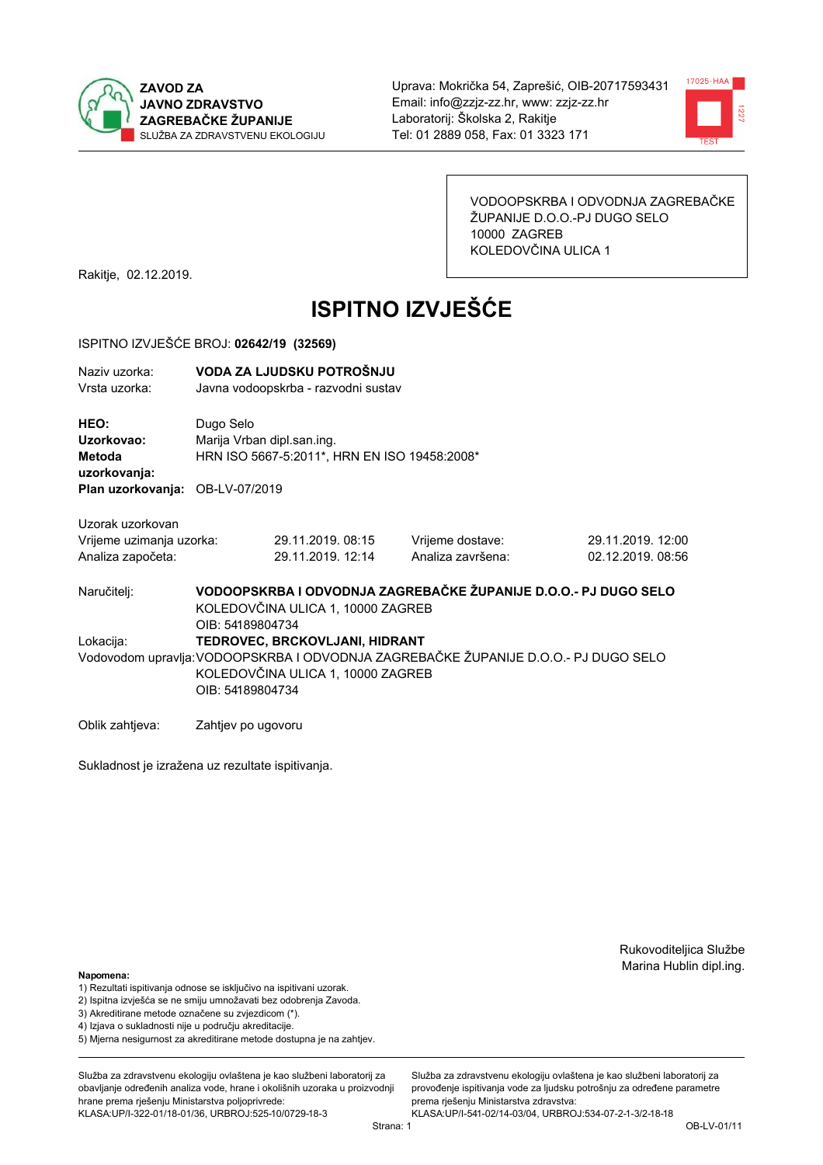



VODOOPSKRBA I ODVODNJA ZAGREBAČKE ŽUPANIJE D.O.O.-PJ DUGO SELO 10000 ZAGREB KOLEDOVČINA ULICA 1

Rakitje, 02.12.2019.

# **ISPITNO IZVJEŠĆE**

#### ISPITNO IZVJEŠĆE BROJ: 02642/19 (32569)

| Naziv uzorka: | VODA ZA LJUDSKU POTROŠNJU           |  |
|---------------|-------------------------------------|--|
| Vrsta uzorka: | Javna vodoopskrba - razvodni sustav |  |
|               |                                     |  |

HEO: Dugo Selo Uzorkovao: Marija Vrban dipl.san.ing. Metoda HRN ISO 5667-5:2011\*, HRN EN ISO 19458:2008\* uzorkovanja: Plan uzorkovanja: OB-LV-07/2019

Uzorak uzorkovan Vrijeme uzimanja uzorka: Analiza

| uzimanja uzorka: | 29.11.2019. 08:15 |
|------------------|-------------------|
| započeta:        | 29.11.2019. 12:14 |

Vrijeme dostave: Analiza završena: 29.11.2019. 12:00 02.12.2019.08:56

VODOOPSKRBA I ODVODNJA ZAGREBAČKE ŽUPANIJE D.O.O.- PJ DUGO SELO Naručitelj: KOLEDOVČINA ULICA 1, 10000 ZAGREB OIB: 54189804734 Lokacija: TEDROVEC, BRCKOVLJANI, HIDRANT Vodovodom upravlja: VODOOPSKRBA I ODVODNJA ZAGREBAČKE ŽUPANIJE D.O.O.- PJ DUGO SELO KOLEDOVČINA ULICA 1, 10000 ZAGREB OIB: 54189804734

Oblik zahtjeva: Zahtjev po ugovoru

Sukladnost je izražena uz rezultate ispitivanja.

Rukovoditeljica Službe Marina Hublin dipl.ing.

#### Napomena:

- 1) Rezultati ispitivanja odnose se isključivo na ispitivani uzorak.
- 2) Ispitna izvješća se ne smiju umnožavati bez odobrenja Zavoda.

3) Akreditirane metode označene su zvjezdicom (\*).

- 4) Iziava o sukladnosti nije u području akreditacije.
- 5) Mjerna nesigurnost za akreditirane metode dostupna je na zahtjev.

Služba za zdravstvenu ekologiju ovlaštena je kao službeni laboratorij za obavlianie određenih analiza vode, hrane i okolišnih uzoraka u proizvodniji hrane prema rješenju Ministarstva poljoprivrede: KLASA:UP/I-322-01/18-01/36, URBROJ:525-10/0729-18-3

Služba za zdravstvenu ekologiju ovlaštena je kao službeni laboratorij za provođenie ispitivania vode za liudsku potrošniu za određene parametre prema riešenju Ministarstva zdravstva: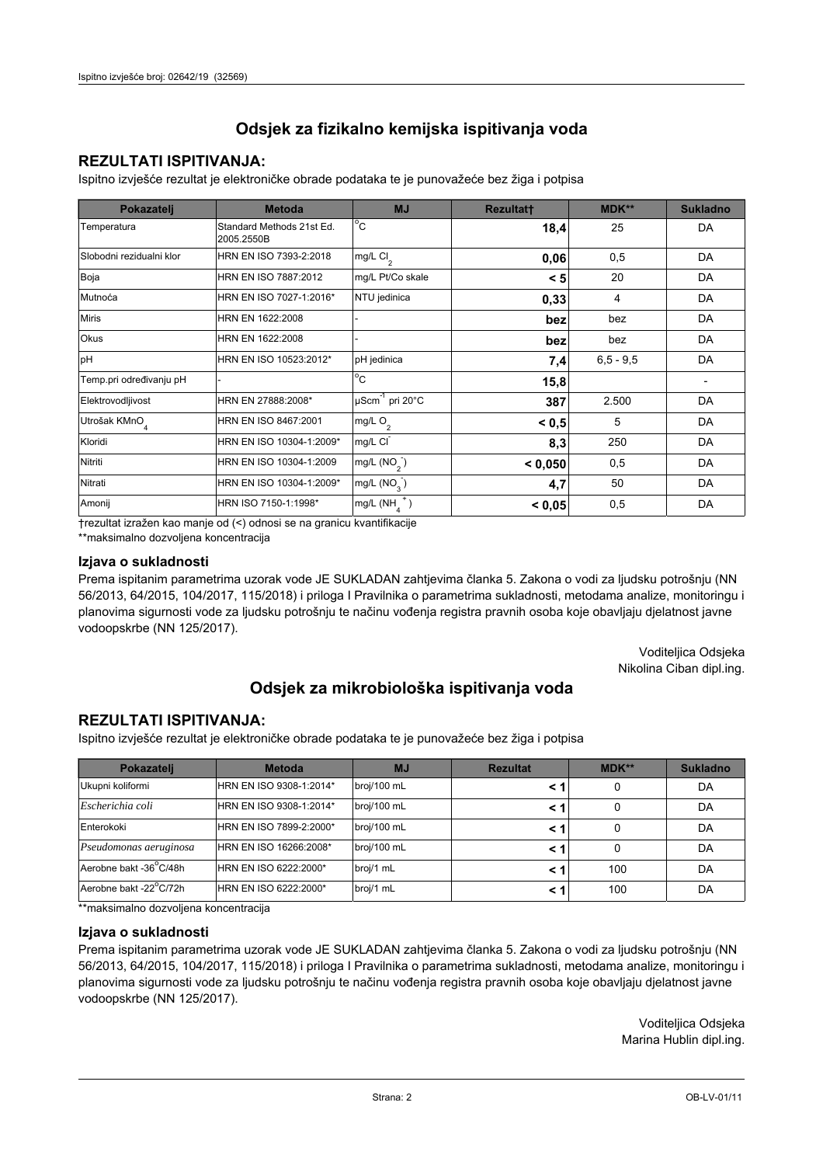## **REZULTATI ISPITIVANJA:**

Ispitno izviešće rezultat je elektroničke obrade podataka te je punovažeće bez žiga i potpisa

| Pokazatelj                | <b>Metoda</b>                           | <b>MJ</b>                   | <b>Rezultatt</b> | MDK**         | <b>Sukladno</b> |
|---------------------------|-----------------------------------------|-----------------------------|------------------|---------------|-----------------|
| Temperatura               | Standard Methods 21st Ed.<br>2005.2550B | $^{\circ}$ C                | 18,4             | 25            | DA              |
| Slobodni rezidualni klor  | HRN EN ISO 7393-2:2018                  | $mg/L$ Cl <sub>2</sub>      | 0,06             | 0,5           | DA              |
| Boja                      | HRN EN ISO 7887:2012                    | mg/L Pt/Co skale            | < 5              | 20            | DA              |
| Mutnoća                   | HRN EN ISO 7027-1:2016*                 | NTU jedinica                | 0,33             | 4             | DA              |
| <b>Miris</b>              | HRN EN 1622:2008                        |                             | bez              | bez           | DA              |
| <b>Okus</b>               | HRN EN 1622:2008                        |                             | bez              | bez           | DA              |
| pH                        | HRN EN ISO 10523:2012*                  | pH jedinica                 | 7,4              | $6, 5 - 9, 5$ | DA              |
| Temp.pri određivanju pH   |                                         | $^{\circ}$ C                | 15,8             |               |                 |
| Elektrovodljivost         | HRN EN 27888:2008*                      | µScm <sup>-1</sup> pri 20°C | 387              | 2.500         | DA              |
| Utrošak KMnO <sub>4</sub> | HRN EN ISO 8467:2001                    | mg/L $O_2$                  | < 0, 5           | 5             | DA              |
| Kloridi                   | HRN EN ISO 10304-1:2009*                | mg/L CI                     | 8,3              | 250           | DA              |
| Nitriti                   | HRN EN ISO 10304-1:2009                 | mg/L $(NO2)$                | < 0,050          | 0,5           | DA              |
| Nitrati                   | HRN EN ISO 10304-1:2009*                | mg/L (NO <sub>3</sub> )     | 4,7              | 50            | DA              |
| Amonij                    | HRN ISO 7150-1:1998*                    | mg/L (NH                    | < 0,05           | 0,5           | DA              |

trezultat izražen kao manje od (<) odnosi se na granicu kvantifikacije

\*\*maksimalno dozvoljena koncentracija

#### Izjava o sukladnosti

Prema ispitanim parametrima uzorak vode JE SUKLADAN zahtievima članka 5. Zakona o vodi za ljudsku potrošnju (NN 56/2013, 64/2015, 104/2017, 115/2018) i priloga I Pravilnika o parametrima sukladnosti, metodama analize, monitoringu i planovima sigurnosti vode za ljudsku potrošnju te načinu vođenja registra pravnih osoba koje obavljaju djelatnost javne vodoopskrbe (NN 125/2017).

> Voditeljica Odsjeka Nikolina Ciban dipl.ing.

# Odsjek za mikrobiološka ispitivanja voda

## **REZULTATI ISPITIVANJA:**

Ispitno izvješće rezultat je elektroničke obrade podataka te je punovažeće bez žiga i potpisa

| Pokazatelj             | <b>Metoda</b>           | <b>MJ</b>   | <b>Rezultat</b> | $MDK**$ | <b>Sukladno</b> |
|------------------------|-------------------------|-------------|-----------------|---------|-----------------|
| Ukupni koliformi       | HRN EN ISO 9308-1:2014* | broj/100 mL |                 | 0       | DA              |
| Escherichia coli       | HRN EN ISO 9308-1:2014* | broj/100 mL |                 | 0       | DA              |
| Enterokoki             | HRN EN ISO 7899-2:2000* | broj/100 mL |                 | 0       | DA              |
| Pseudomonas aeruginosa | HRN EN ISO 16266:2008*  | broj/100 mL | < 1             | 0       | DA              |
| Aerobne bakt -36 C/48h | HRN EN ISO 6222:2000*   | broj/1 mL   |                 | 100     | DA              |
| Aerobne bakt -22°C/72h | HRN EN ISO 6222:2000*   | broj/1 mL   |                 | 100     | DA              |

\*\*maksimalno dozvoljena koncentracija

#### Izjava o sukladnosti

Prema ispitanim parametrima uzorak vode JE SUKLADAN zahtjevima članka 5. Zakona o vodi za ljudsku potrošnju (NN 56/2013, 64/2015, 104/2017, 115/2018) i priloga I Pravilnika o parametrima sukladnosti, metodama analize, monitoringu i planovima sigurnosti vode za ljudsku potrošnju te načinu vođenja registra pravnih osoba koje obavljaju djelatnost javne vodoopskrbe (NN 125/2017).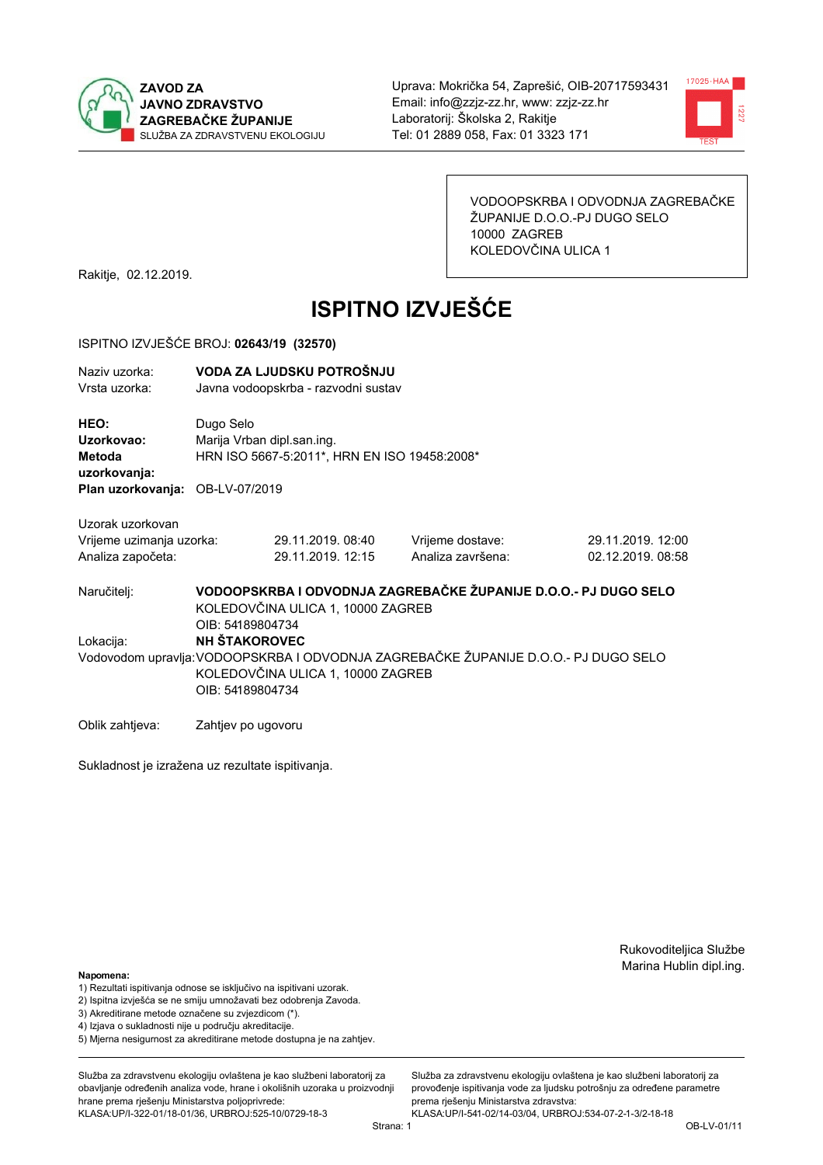



VODOOPSKRBA I ODVODNJA ZAGREBAČKE ŽUPANIJE D.O.O.-PJ DUGO SELO 10000 ZAGREB KOLEDOVČINA ULICA 1

Rakitje, 02.12.2019.

# **ISPITNO IZVJEŠĆE**

#### ISPITNO IZVJEŠĆE BROJ: 02643/19 (32570)

| Naziv uzorka: | VODA ZA LJUDSKU POTROŠNJU           |
|---------------|-------------------------------------|
| Vrsta uzorka: | Javna vodoopskrba - razvodni sustav |
| <b>HEO:</b>   | Dugo Selo                           |
| Uzorkovao:    | Marija Vrban dipl.san.ing.          |

Metoda HRN ISO 5667-5:2011\*, HRN EN ISO 19458:2008\* uzorkovanja:

Plan uzorkovanja: OB-LV-07/2019

Uzorak uzorkovan

| Vrijeme uzimanja uzorka: | 29.11.2019.08:40  | Vrijeme dostave:  | 29.11.2019. 12:00 |
|--------------------------|-------------------|-------------------|-------------------|
| Analiza započeta:        | 29.11.2019. 12:15 | Analiza završena: | 02.12.2019.08:58  |

VODOOPSKRBA I ODVODNJA ZAGREBAČKE ŽUPANIJE D.O.O.- PJ DUGO SELO Naručitelj: KOLEDOVČINA ULICA 1, 10000 ZAGREB OIB: 54189804734 Lokacija: **NH ŠTAKOROVEC** Vodovodom upravlja: VODOOPSKRBA I ODVODNJA ZAGREBAČKE ŽUPANIJE D.O.O.- PJ DUGO SELO KOLEDOVČINA ULICA 1, 10000 ZAGREB OIB: 54189804734

Oblik zahtjeva: Zahtjev po ugovoru

Sukladnost je izražena uz rezultate ispitivanja.

Rukovoditeljica Službe Marina Hublin dipl.ing.

#### Napomena:

- 1) Rezultati ispitivanja odnose se isključivo na ispitivani uzorak.
- 2) Ispitna izvješća se ne smiju umnožavati bez odobrenja Zavoda.

3) Akreditirane metode označene su zvjezdicom (\*).

- 4) Iziava o sukladnosti nije u području akreditacije.
- 5) Mjerna nesigurnost za akreditirane metode dostupna je na zahtjev.

Služba za zdravstvenu ekologiju ovlaštena je kao službeni laboratorij za obavlianie određenih analiza vode, hrane i okolišnih uzoraka u proizvodniji hrane prema rješenju Ministarstva poljoprivrede: KLASA:UP/I-322-01/18-01/36, URBROJ:525-10/0729-18-3

Strana: 1

Služba za zdravstvenu ekologiju ovlaštena je kao službeni laboratorij za provođenie ispitivania vode za liudsku potrošniu za određene parametre prema rješenju Ministarstva zdravstva: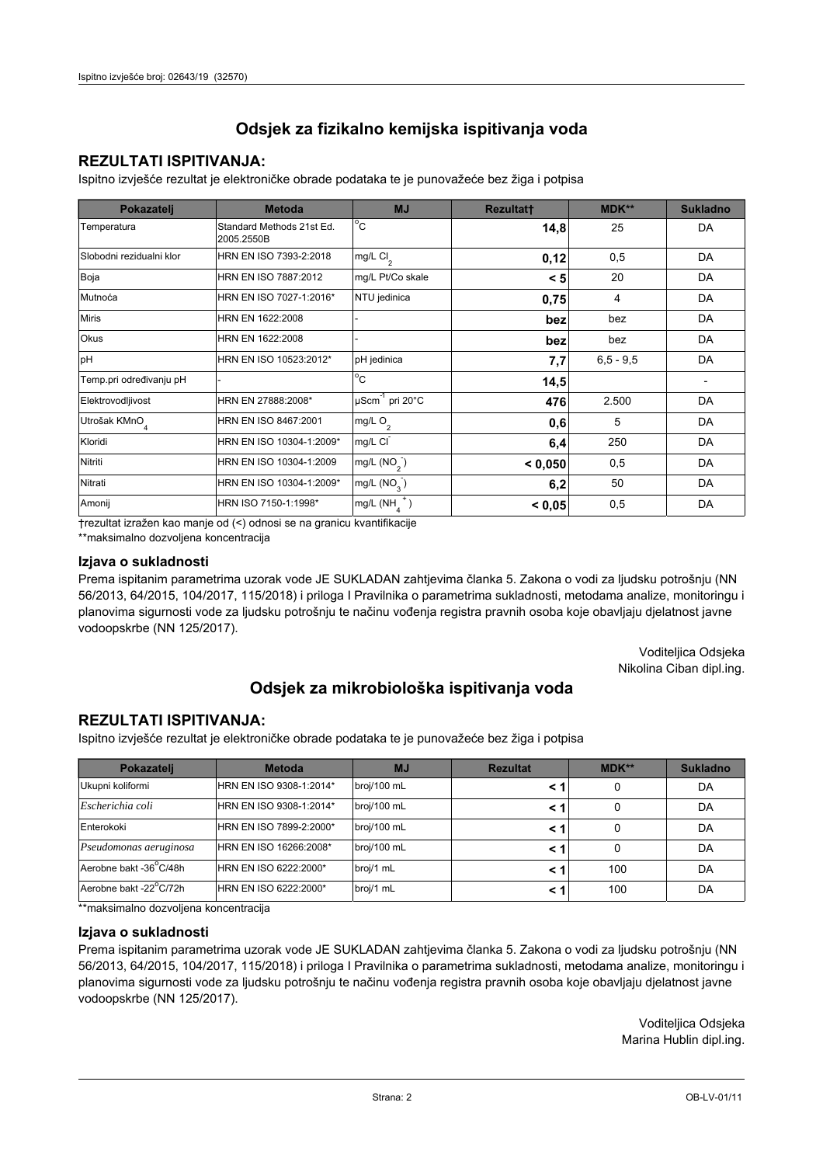## **REZULTATI ISPITIVANJA:**

Ispitno izviešće rezultat je elektroničke obrade podataka te je punovažeće bez žiga i potpisa

| Pokazatelj                | <b>Metoda</b>                           | <b>MJ</b>                   | <b>Rezultatt</b> | MDK**         | <b>Sukladno</b> |
|---------------------------|-----------------------------------------|-----------------------------|------------------|---------------|-----------------|
| Temperatura               | Standard Methods 21st Ed.<br>2005.2550B | $^{\circ}$ C                | 14,8             | 25            | DA              |
| Slobodni rezidualni klor  | HRN EN ISO 7393-2:2018                  | mg/L $Cl2$                  | 0,12             | 0,5           | DA              |
| Boja                      | HRN EN ISO 7887:2012                    | mg/L Pt/Co skale            | < 5              | 20            | DA              |
| Mutnoća                   | HRN EN ISO 7027-1:2016*                 | NTU jedinica                | 0,75             | 4             | DA              |
| <b>Miris</b>              | HRN EN 1622:2008                        |                             | bez              | bez           | DA              |
| <b>Okus</b>               | HRN EN 1622:2008                        |                             | bez              | bez           | DA              |
| pH                        | HRN EN ISO 10523:2012*                  | pH jedinica                 | 7,7              | $6, 5 - 9, 5$ | DA              |
| Temp.pri određivanju pH   |                                         | $^{\circ}$ C                | 14,5             |               |                 |
| Elektrovodljivost         | HRN EN 27888:2008*                      | µScm <sup>-1</sup> pri 20°C | 476              | 2.500         | DA              |
| Utrošak KMnO <sub>4</sub> | HRN EN ISO 8467:2001                    | mg/L $O_2$                  | 0,6              | 5             | DA              |
| Kloridi                   | HRN EN ISO 10304-1:2009*                | mg/L CI                     | 6,4              | 250           | DA              |
| Nitriti                   | HRN EN ISO 10304-1:2009                 | mg/L $(NO2)$                | < 0,050          | 0,5           | DA              |
| Nitrati                   | HRN EN ISO 10304-1:2009*                | mg/L (NO <sub>3</sub> )     | 6,2              | 50            | DA              |
| Amonij                    | HRN ISO 7150-1:1998*                    | mg/L (NH                    | < 0,05           | 0,5           | DA              |

trezultat izražen kao manje od (<) odnosi se na granicu kvantifikacije

\*\*maksimalno dozvoljena koncentracija

### Izjava o sukladnosti

Prema ispitanim parametrima uzorak vode JE SUKLADAN zahtievima članka 5. Zakona o vodi za ljudsku potrošnju (NN 56/2013, 64/2015, 104/2017, 115/2018) i priloga I Pravilnika o parametrima sukladnosti, metodama analize, monitoringu i planovima sigurnosti vode za ljudsku potrošnju te načinu vođenja registra pravnih osoba koje obavljaju djelatnost javne vodoopskrbe (NN 125/2017).

> Voditeljica Odsjeka Nikolina Ciban dipl.ing.

# Odsjek za mikrobiološka ispitivanja voda

## **REZULTATI ISPITIVANJA:**

Ispitno izvješće rezultat je elektroničke obrade podataka te je punovažeće bez žiga i potpisa

| Pokazatelj             | <b>Metoda</b>           | <b>MJ</b>   | <b>Rezultat</b> | <b>MDK**</b> | <b>Sukladno</b> |
|------------------------|-------------------------|-------------|-----------------|--------------|-----------------|
| Ukupni koliformi       | HRN EN ISO 9308-1:2014* | broj/100 mL |                 |              | DA              |
| Escherichia coli       | HRN EN ISO 9308-1:2014* | broj/100 mL | < 1             |              | DA              |
| Enterokoki             | HRN EN ISO 7899-2:2000* | broj/100 mL | < '             |              | DA              |
| Pseudomonas aeruginosa | HRN EN ISO 16266:2008*  | broj/100 mL | < 1             | 0            | DA              |
| Aerobne bakt -36 C/48h | HRN EN ISO 6222:2000*   | broj/1 mL   |                 | 100          | DA              |
| Aerobne bakt -22°C/72h | HRN EN ISO 6222:2000*   | broj/1 mL   | < 1             | 100          | DA              |

\*\*maksimalno dozvoljena koncentracija

### Izjava o sukladnosti

Prema ispitanim parametrima uzorak vode JE SUKLADAN zahtjevima članka 5. Zakona o vodi za ljudsku potrošnju (NN 56/2013, 64/2015, 104/2017, 115/2018) i priloga I Pravilnika o parametrima sukladnosti, metodama analize, monitoringu i planovima sigurnosti vode za ljudsku potrošnju te načinu vođenja registra pravnih osoba koje obavljaju djelatnost javne vodoopskrbe (NN 125/2017).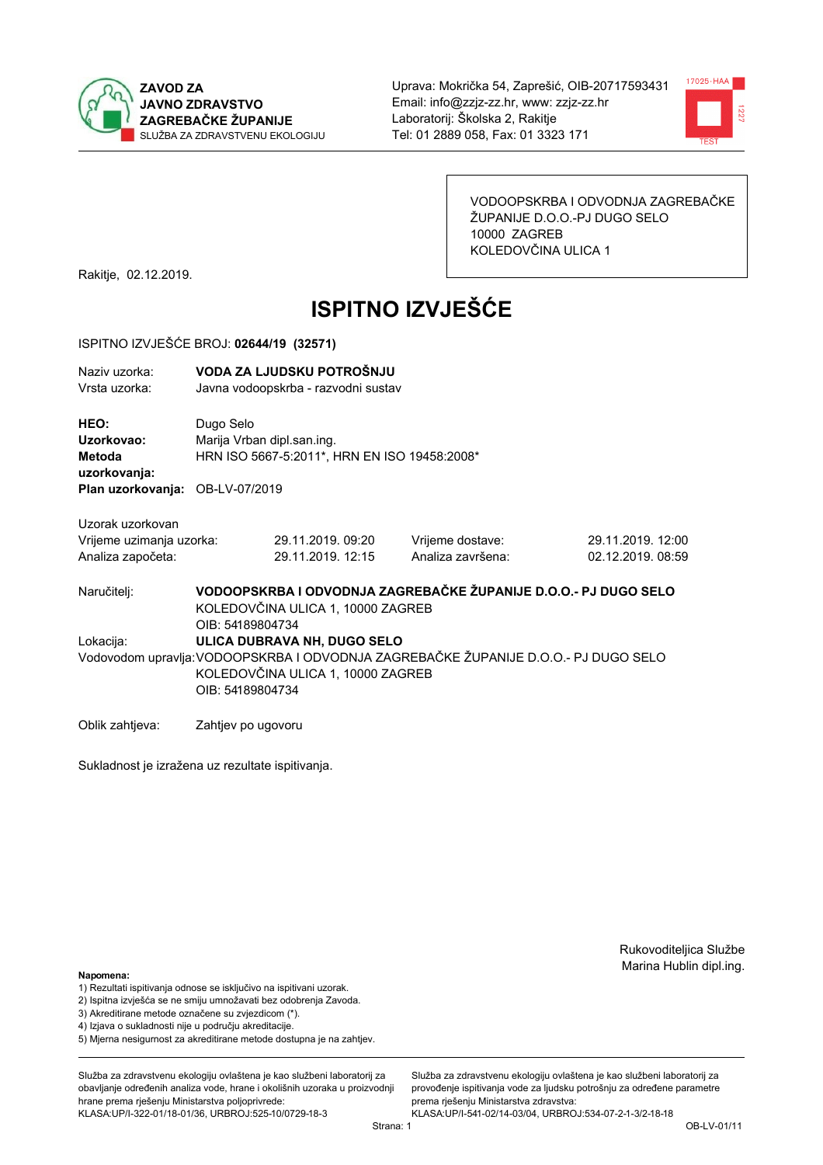



VODOOPSKRBA I ODVODNJA ZAGREBAČKE ŽUPANIJE D.O.O.-PJ DUGO SELO 10000 ZAGREB KOLEDOVČINA ULICA 1

Rakitje, 02.12.2019.

# **ISPITNO IZVJEŠĆE**

#### ISPITNO IZVJEŠĆE BROJ: 02644/19 (32571)

| Naziv uzorka: | VODA ZA LJUDSKU POTROŠNJU           |
|---------------|-------------------------------------|
| Vrsta uzorka: | Javna vodoopskrba - razvodni sustav |

HEO: Dugo Selo Uzorkovao: Mariia Vrban dipl.san.ing. Metoda HRN ISO 5667-5:2011\*, HRN EN ISO 19458:2008\* uzorkovanja: Plan uzorkovanja: OB-LV-07/2019

29.11.2019.09:20

29.11.2019. 12:15

Uzorak uzorkovan Vrijeme uzimanja uzorka: Analiza započeta:

Vrijeme dostave: Analiza završena: 29.11.2019. 12:00 02.12.2019.08:59

VODOOPSKRBA I ODVODNJA ZAGREBAČKE ŽUPANIJE D.O.O.- PJ DUGO SELO Naručitelj: KOLEDOVČINA ULICA 1, 10000 ZAGREB OIB: 54189804734 Lokacija: **ULICA DUBRAVA NH. DUGO SELO** Vodovodom upravlja: VODOOPSKRBA I ODVODNJA ZAGREBAČKE ŽUPANIJE D.O.O.- PJ DUGO SELO KOLEDOVČINA ULICA 1, 10000 ZAGREB OIB: 54189804734

Oblik zahtjeva: Zahtjev po ugovoru

Sukladnost je izražena uz rezultate ispitivanja.

Rukovoditeljica Službe Marina Hublin dipl.ing.

#### Napomena:

- 1) Rezultati ispitivanja odnose se isključivo na ispitivani uzorak.
- 2) Ispitna izvješća se ne smiju umnožavati bez odobrenja Zavoda.

3) Akreditirane metode označene su zvjezdicom (\*).

- 4) Iziava o sukladnosti nije u područiu akreditacije.
- 5) Mjerna nesigurnost za akreditirane metode dostupna je na zahtjev.

Služba za zdravstvenu ekologiju ovlaštena je kao službeni laboratorij za obavlianie određenih analiza vode, hrane i okolišnih uzoraka u proizvodniji hrane prema rješenju Ministarstva poljoprivrede: KLASA:UP/I-322-01/18-01/36, URBROJ:525-10/0729-18-3

Služba za zdravstvenu ekologiju ovlaštena je kao službeni laboratorij za provođenie ispitivania vode za liudsku potrošniu za određene parametre prema riešenju Ministarstva zdravstva: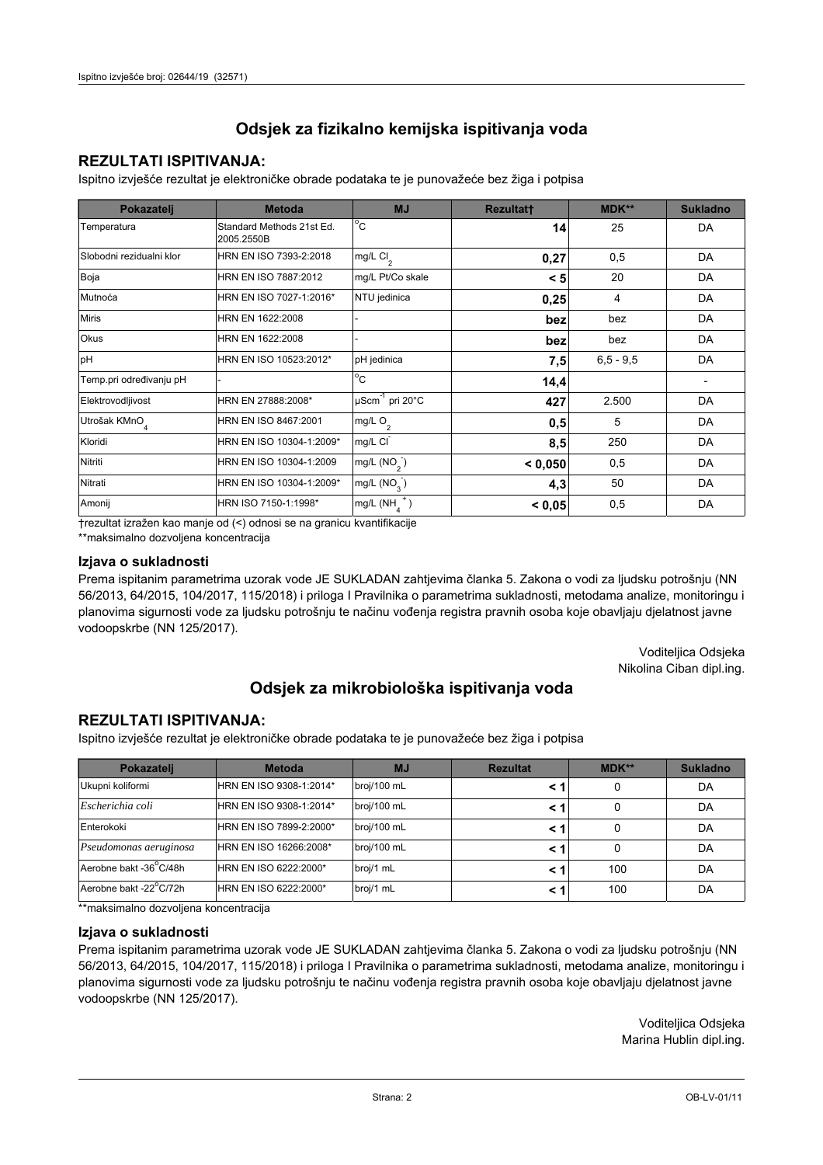## **REZULTATI ISPITIVANJA:**

Ispitno izviešće rezultat je elektroničke obrade podataka te je punovažeće bez žiga i potpisa

| Pokazatelj                | <b>Metoda</b>                           | <b>MJ</b>                   | <b>Rezultatt</b> | MDK**         | <b>Sukladno</b> |
|---------------------------|-----------------------------------------|-----------------------------|------------------|---------------|-----------------|
| Temperatura               | Standard Methods 21st Ed.<br>2005.2550B | $^{\circ}$ C                | 14               | 25            | DA              |
| Slobodni rezidualni klor  | HRN EN ISO 7393-2:2018                  | $mg/L$ Cl <sub>2</sub>      | 0,27             | 0,5           | DA              |
| Boja                      | HRN EN ISO 7887:2012                    | mg/L Pt/Co skale            | < 5              | 20            | DA              |
| Mutnoća                   | HRN EN ISO 7027-1:2016*                 | NTU jedinica                | 0,25             | 4             | DA              |
| <b>Miris</b>              | HRN EN 1622:2008                        |                             | bez              | bez           | DA              |
| Okus                      | HRN EN 1622:2008                        |                             | bez              | bez           | DA              |
| pH                        | HRN EN ISO 10523:2012*                  | pH jedinica                 | 7,5              | $6, 5 - 9, 5$ | DA              |
| Temp.pri određivanju pH   |                                         | $^{\circ}$ C                | 14,4             |               |                 |
| Elektrovodljivost         | HRN EN 27888:2008*                      | µScm <sup>-1</sup> pri 20°C | 427              | 2.500         | DA              |
| Utrošak KMnO <sub>4</sub> | HRN EN ISO 8467:2001                    | mg/L O <sub>2</sub>         | 0,5              | 5             | DA              |
| Kloridi                   | HRN EN ISO 10304-1:2009*                | mg/L CI                     | 8,5              | 250           | DA              |
| Nitriti                   | HRN EN ISO 10304-1:2009                 | mg/L $(NO2)$                | < 0.050          | 0,5           | DA              |
| Nitrati                   | HRN EN ISO 10304-1:2009*                | mg/L (NO <sub>3</sub> )     | 4,3              | 50            | DA              |
| Amonij                    | HRN ISO 7150-1:1998*                    | mg/L (NH                    | < 0,05           | 0,5           | DA              |

trezultat izražen kao manje od (<) odnosi se na granicu kvantifikacije

\*\*maksimalno dozvoljena koncentracija

### Izjava o sukladnosti

Prema ispitanim parametrima uzorak vode JE SUKLADAN zahtievima članka 5. Zakona o vodi za ljudsku potrošnju (NN 56/2013, 64/2015, 104/2017, 115/2018) i priloga I Pravilnika o parametrima sukladnosti, metodama analize, monitoringu i planovima sigurnosti vode za ljudsku potrošnju te načinu vođenja registra pravnih osoba koje obavljaju djelatnost javne vodoopskrbe (NN 125/2017).

> Voditeljica Odsjeka Nikolina Ciban dipl.ing.

# Odsjek za mikrobiološka ispitivanja voda

## **REZULTATI ISPITIVANJA:**

Ispitno izvješće rezultat je elektroničke obrade podataka te je punovažeće bez žiga i potpisa

| Pokazatelj             | <b>Metoda</b>           | <b>MJ</b>   | <b>Rezultat</b> | $MDK**$ | <b>Sukladno</b> |
|------------------------|-------------------------|-------------|-----------------|---------|-----------------|
| Ukupni koliformi       | HRN EN ISO 9308-1:2014* | broj/100 mL |                 | 0       | DA              |
| Escherichia coli       | HRN EN ISO 9308-1:2014* | broj/100 mL |                 | 0       | DA              |
| Enterokoki             | HRN EN ISO 7899-2:2000* | broj/100 mL |                 | 0       | DA              |
| Pseudomonas aeruginosa | HRN EN ISO 16266:2008*  | broj/100 mL | < 1             | 0       | DA              |
| Aerobne bakt -36 C/48h | HRN EN ISO 6222:2000*   | broj/1 mL   |                 | 100     | DA              |
| Aerobne bakt -22°C/72h | HRN EN ISO 6222:2000*   | broj/1 mL   |                 | 100     | DA              |

\*\*maksimalno dozvoljena koncentracija

#### Izjava o sukladnosti

Prema ispitanim parametrima uzorak vode JE SUKLADAN zahtjevima članka 5. Zakona o vodi za ljudsku potrošnju (NN 56/2013, 64/2015, 104/2017, 115/2018) i priloga I Pravilnika o parametrima sukladnosti, metodama analize, monitoringu i planovima sigurnosti vode za ljudsku potrošnju te načinu vođenja registra pravnih osoba koje obavljaju djelatnost javne vodoopskrbe (NN 125/2017).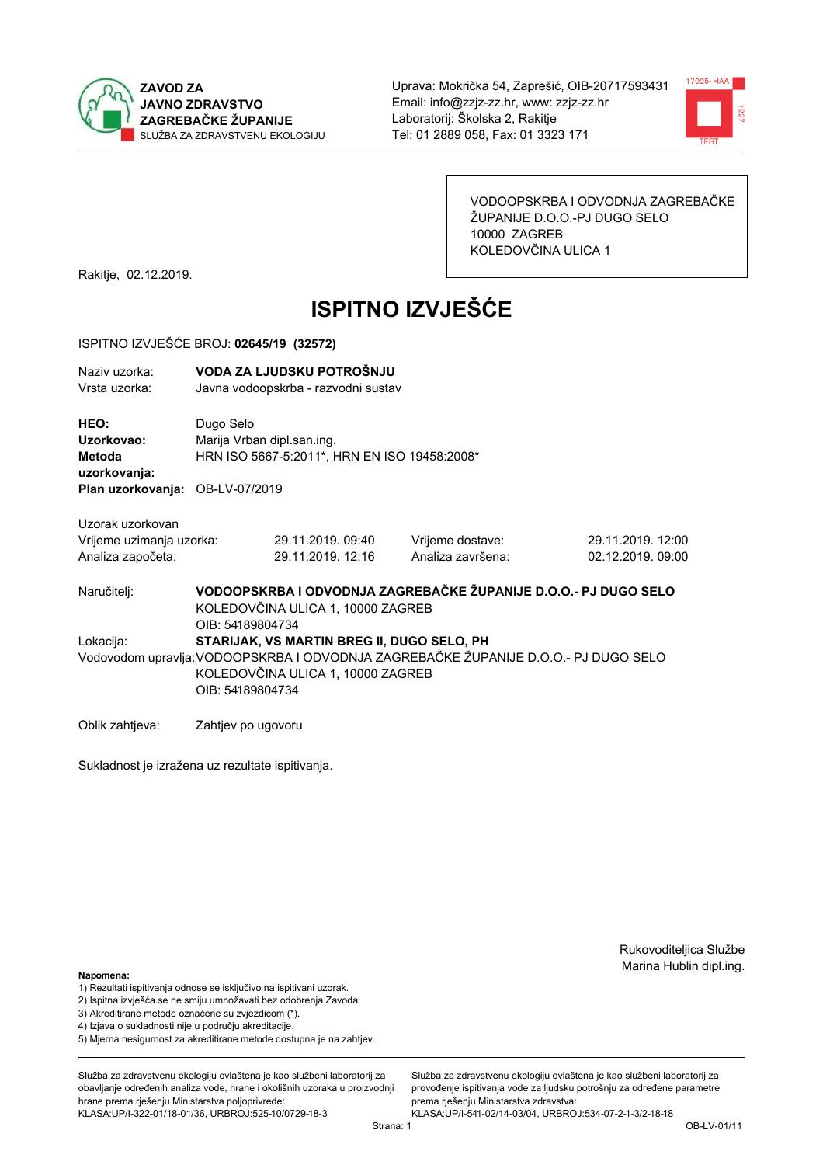



VODOOPSKRBA I ODVODNJA ZAGREBAČKE ŽUPANIJE D.O.O.-PJ DUGO SELO 10000 ZAGREB KOLEDOVČINA ULICA 1

Rakitje, 02.12.2019.

# **ISPITNO IZVJEŠĆE**

#### ISPITNO IZVJEŠĆE BROJ: 02645/19 (32572)

| Naziv uzorka: | VODA ZA LJUDSKU POTROŠNJU           |
|---------------|-------------------------------------|
| Vrsta uzorka: | Javna vodoopskrba - razvodni sustav |

HEO: Dugo Selo Uzorkovao: Marija Vrban dipl.san.ing. Metoda HRN ISO 5667-5:2011\*, HRN EN ISO 19458:2008\* uzorkovanja: Plan uzorkovanja: OB-LV-07/2019

29.11.2019.09:40

29.11.2019. 12:16

Uzorak uzorkovan Vrijeme uzimanja uzorka: Analiza započeta:

Vrijeme dostave: Analiza završena: 29.11.2019. 12:00 02.12.2019.09:00

VODOOPSKRBA I ODVODNJA ZAGREBAČKE ŽUPANIJE D.O.O.- PJ DUGO SELO Naručitelj: KOLEDOVČINA ULICA 1, 10000 ZAGREB OIB: 54189804734 Lokacija: STARIJAK, VS MARTIN BREG II, DUGO SELO, PH Vodovodom upravlja: VODOOPSKRBA I ODVODNJA ZAGREBAČKE ŽUPANIJE D.O.O.- PJ DUGO SELO KOLEDOVČINA ULICA 1, 10000 ZAGREB OIB: 54189804734

Oblik zahtjeva: Zahtjev po ugovoru

Sukladnost je izražena uz rezultate ispitivanja.

Rukovoditeljica Službe Marina Hublin dipl.ing.

Napomena:

- 1) Rezultati ispitivanja odnose se isključivo na ispitivani uzorak.
- 2) Ispitna izvješća se ne smiju umnožavati bez odobrenja Zavoda.

3) Akreditirane metode označene su zvjezdicom (\*).

- 4) Iziava o sukladnosti nije u područiu akreditacije.
- 5) Mjerna nesigurnost za akreditirane metode dostupna je na zahtjev.

Služba za zdravstvenu ekologiju ovlaštena je kao službeni laboratorij za obavlianie određenih analiza vode, hrane i okolišnih uzoraka u proizvodniji hrane prema rješenju Ministarstva poljoprivrede: KLASA:UP/I-322-01/18-01/36, URBROJ:525-10/0729-18-3

Služba za zdravstvenu ekologiju ovlaštena je kao službeni laboratorij za provođenie ispitivania vode za liudsku potrošniu za određene parametre prema riešenju Ministarstva zdravstva: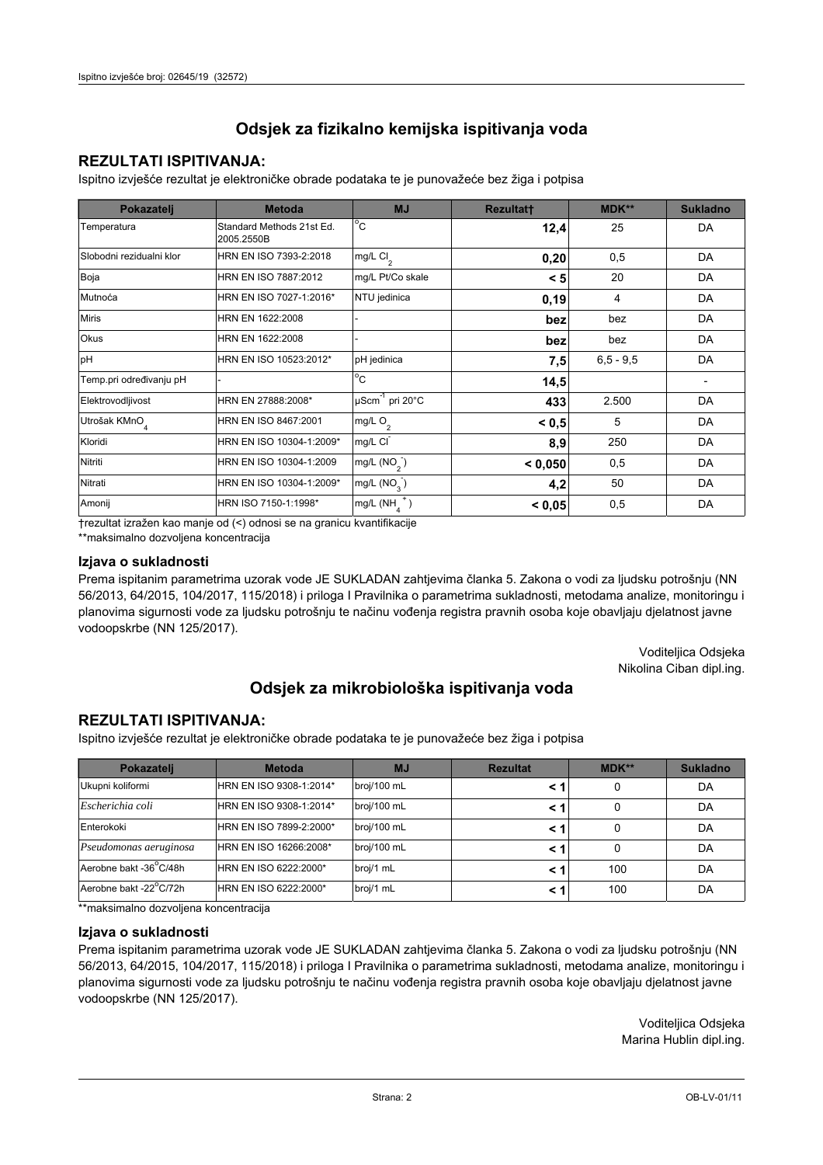## **REZULTATI ISPITIVANJA:**

Ispitno izviešće rezultat je elektroničke obrade podataka te je punovažeće bez žiga i potpisa

| Pokazatelj                | <b>Metoda</b>                           | <b>MJ</b>                   | <b>Rezultatt</b> | <b>MDK**</b>  | <b>Sukladno</b> |
|---------------------------|-----------------------------------------|-----------------------------|------------------|---------------|-----------------|
| Temperatura               | Standard Methods 21st Ed.<br>2005.2550B | $^{\circ}$ C                | 12,4             | 25            | DA              |
| Slobodni rezidualni klor  | HRN EN ISO 7393-2:2018                  | mg/L Cl <sub>2</sub>        | 0,20             | 0,5           | DA              |
| Boja                      | HRN EN ISO 7887:2012                    | mg/L Pt/Co skale            | < 5              | 20            | DA              |
| Mutnoća                   | HRN EN ISO 7027-1:2016*                 | NTU jedinica                | 0, 19            | 4             | DA              |
| <b>Miris</b>              | HRN EN 1622:2008                        |                             | bez              | bez           | DA              |
| <b>Okus</b>               | HRN EN 1622:2008                        |                             | bez              | bez           | DA              |
| pH                        | HRN EN ISO 10523:2012*                  | pH jedinica                 | 7,5              | $6, 5 - 9, 5$ | DA              |
| Temp.pri određivanju pH   |                                         | $\overline{C}$              | 14,5             |               |                 |
| Elektrovodljivost         | HRN EN 27888:2008*                      | µScm <sup>-1</sup> pri 20°C | 433              | 2.500         | DA              |
| Utrošak KMnO <sub>4</sub> | HRN EN ISO 8467:2001                    | mg/L O <sub>2</sub>         | < 0, 5           | 5             | DA              |
| Kloridi                   | HRN EN ISO 10304-1:2009*                | mg/L CI                     | 8,9              | 250           | DA              |
| Nitriti                   | HRN EN ISO 10304-1:2009                 | mg/L $(NO2)$                | < 0,050          | 0,5           | DA              |
| Nitrati                   | HRN EN ISO 10304-1:2009*                | mg/L $(NO3)$                | 4,2              | 50            | DA              |
| Amonij                    | HRN ISO 7150-1:1998*                    | mg/L (NH                    | < 0,05           | 0,5           | DA              |

trezultat izražen kao manje od (<) odnosi se na granicu kvantifikacije

\*\*maksimalno dozvoljena koncentracija

### Izjava o sukladnosti

Prema ispitanim parametrima uzorak vode JE SUKLADAN zahtievima članka 5. Zakona o vodi za ljudsku potrošnju (NN 56/2013, 64/2015, 104/2017, 115/2018) i priloga I Pravilnika o parametrima sukladnosti, metodama analize, monitoringu i planovima sigurnosti vode za ljudsku potrošnju te načinu vođenja registra pravnih osoba koje obavljaju djelatnost javne vodoopskrbe (NN 125/2017).

> Voditeljica Odsjeka Nikolina Ciban dipl.ing.

# Odsjek za mikrobiološka ispitivanja voda

## **REZULTATI ISPITIVANJA:**

Ispitno izvješće rezultat je elektroničke obrade podataka te je punovažeće bez žiga i potpisa

| Pokazatelj             | <b>Metoda</b>           | <b>MJ</b>   | <b>Rezultat</b> | $MDK**$ | <b>Sukladno</b> |
|------------------------|-------------------------|-------------|-----------------|---------|-----------------|
| Ukupni koliformi       | HRN EN ISO 9308-1:2014* | broj/100 mL |                 | 0       | DA              |
| Escherichia coli       | HRN EN ISO 9308-1:2014* | broj/100 mL |                 | 0       | DA              |
| Enterokoki             | HRN EN ISO 7899-2:2000* | broj/100 mL |                 | 0       | DA              |
| Pseudomonas aeruginosa | HRN EN ISO 16266:2008*  | broj/100 mL | < 1             | 0       | DA              |
| Aerobne bakt -36 C/48h | HRN EN ISO 6222:2000*   | broj/1 mL   |                 | 100     | DA              |
| Aerobne bakt -22°C/72h | HRN EN ISO 6222:2000*   | broj/1 mL   |                 | 100     | DA              |

\*\*maksimalno dozvoljena koncentracija

#### Izjava o sukladnosti

Prema ispitanim parametrima uzorak vode JE SUKLADAN zahtjevima članka 5. Zakona o vodi za ljudsku potrošnju (NN 56/2013, 64/2015, 104/2017, 115/2018) i priloga I Pravilnika o parametrima sukladnosti, metodama analize, monitoringu i planovima sigurnosti vode za ljudsku potrošnju te načinu vođenja registra pravnih osoba koje obavljaju djelatnost javne vodoopskrbe (NN 125/2017).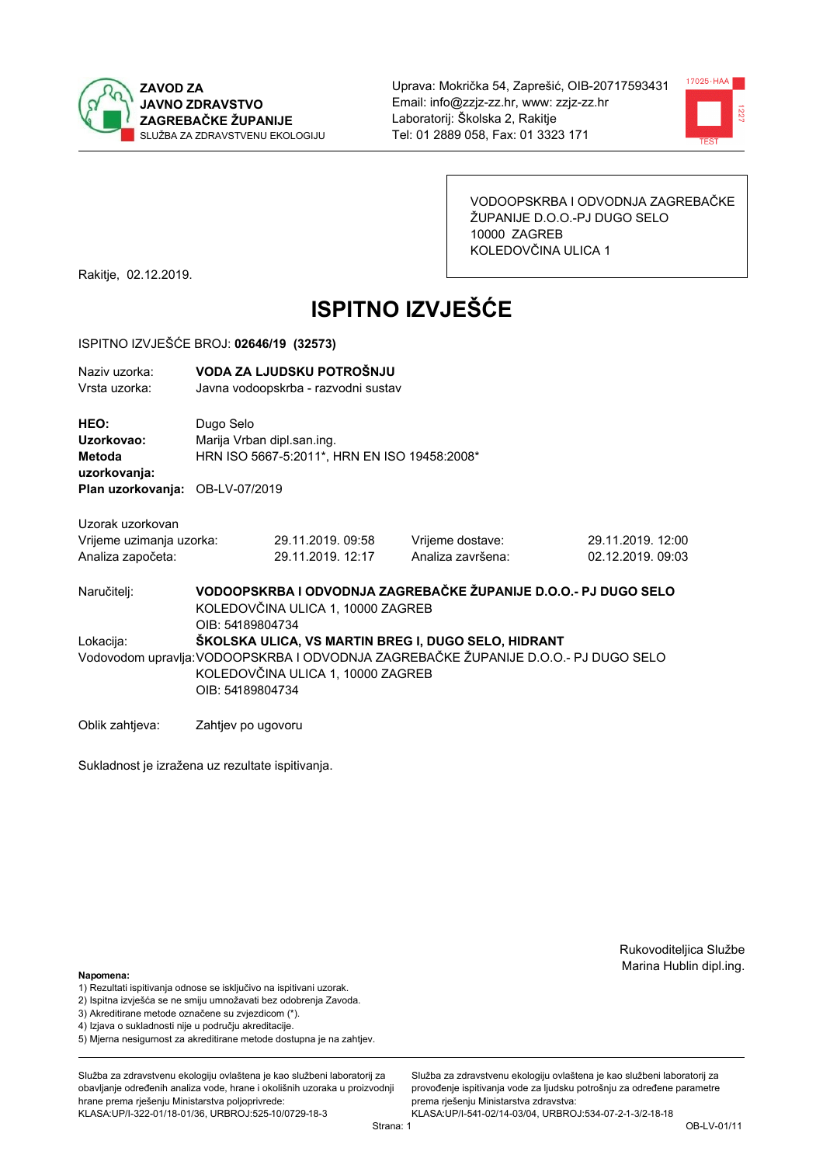



VODOOPSKRBA I ODVODNJA ZAGREBAČKE ŽUPANIJE D.O.O.-PJ DUGO SELO 10000 ZAGREB KOLEDOVČINA ULICA 1

Rakitje, 02.12.2019.

# **ISPITNO IZVJEŠĆE**

#### ISPITNO IZVJEŠĆE BROJ: 02646/19 (32573)

| Naziv uzorka: | VODA ZA LJUDSKU POTROŠNJU           |
|---------------|-------------------------------------|
| Vrsta uzorka: | Javna vodoopskrba - razvodni sustav |

HEO: Dugo Selo Uzorkovao: Mariia Vrban dipl.san.ing. Metoda HRN ISO 5667-5:2011\*, HRN EN ISO 19458:2008\* uzorkovanja: Plan uzorkovanja: OB-LV-07/2019

29.11.2019.09:58

29.11.2019. 12:17

Uzorak uzorkovan Vrijeme uzimanja uzorka: Analiza započeta:

Vrijeme dostave: Analiza završena:

29.11.2019. 12:00 02.12.2019.09:03

VODOOPSKRBA I ODVODNJA ZAGREBAČKE ŽUPANIJE D.O.O.- PJ DUGO SELO Naručitelj: KOLEDOVČINA ULICA 1, 10000 ZAGREB OIB: 54189804734 Lokacija: ŠKOLSKA ULICA. VS MARTIN BREG I. DUGO SELO. HIDRANT Vodovodom upravlja: VODOOPSKRBA I ODVODNJA ZAGREBAČKE ŽUPANIJE D.O.O.- PJ DUGO SELO KOLEDOVČINA ULICA 1, 10000 ZAGREB OIB: 54189804734

Oblik zahtjeva: Zahtjev po ugovoru

Sukladnost je izražena uz rezultate ispitivanja.

Rukovoditeljica Službe Marina Hublin dipl.ing.

Napomena:

- 1) Rezultati ispitivanja odnose se isključivo na ispitivani uzorak.
- 2) Ispitna izvješća se ne smiju umnožavati bez odobrenja Zavoda.

3) Akreditirane metode označene su zvjezdicom (\*).

- 4) Iziava o sukladnosti nije u područiu akreditacije.
- 5) Mjerna nesigurnost za akreditirane metode dostupna je na zahtjev.

Služba za zdravstvenu ekologiju ovlaštena je kao službeni laboratorij za obavlianie određenih analiza vode, hrane i okolišnih uzoraka u proizvodniji hrane prema rješenju Ministarstva poljoprivrede: KLASA:UP/I-322-01/18-01/36, URBROJ:525-10/0729-18-3

Služba za zdravstvenu ekologiju ovlaštena je kao službeni laboratorij za provođenie ispitivania vode za liudsku potrošniu za određene parametre prema riešenju Ministarstva zdravstva: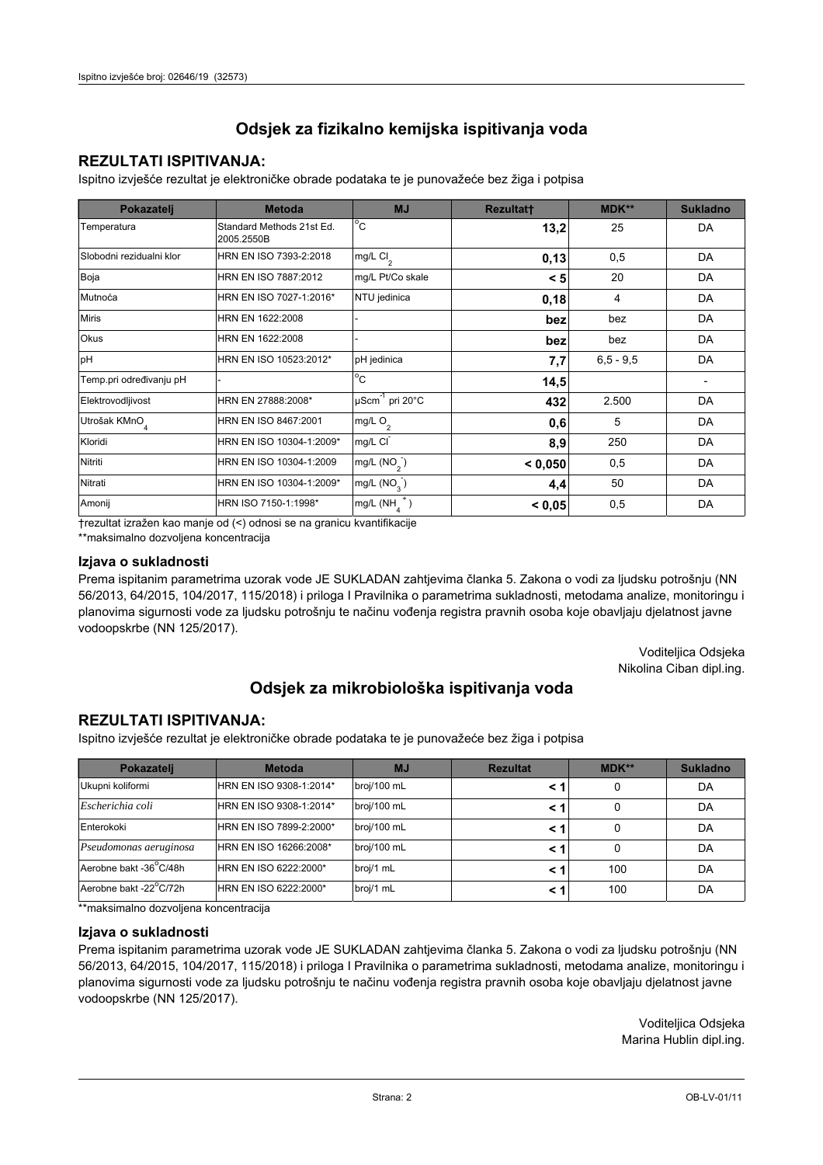## **REZULTATI ISPITIVANJA:**

Ispitno izviešće rezultat je elektroničke obrade podataka te je punovažeće bez žiga i potpisa

| Pokazatelj                | <b>Metoda</b>                           | <b>MJ</b>                   | <b>Rezultatt</b> | <b>MDK**</b>  | <b>Sukladno</b> |
|---------------------------|-----------------------------------------|-----------------------------|------------------|---------------|-----------------|
| Temperatura               | Standard Methods 21st Ed.<br>2005.2550B | $^{\circ}$ C                | 13,2             | 25            | DA              |
| Slobodni rezidualni klor  | HRN EN ISO 7393-2:2018                  | $mg/L$ Cl <sub>2</sub>      | 0,13             | 0,5           | DA              |
| Boja                      | HRN EN ISO 7887:2012                    | mg/L Pt/Co skale            | < 5              | 20            | DA              |
| Mutnoća                   | HRN EN ISO 7027-1:2016*                 | NTU jedinica                | 0,18             | 4             | DA              |
| <b>Miris</b>              | HRN EN 1622:2008                        |                             | bez              | bez           | DA              |
| Okus                      | HRN EN 1622:2008                        |                             | bez              | bez           | DA              |
| pH                        | HRN EN ISO 10523:2012*                  | pH jedinica                 | 7,7              | $6, 5 - 9, 5$ | DA              |
| Temp.pri određivanju pH   |                                         | $^{\circ}$ C                | 14,5             |               |                 |
| Elektrovodljivost         | HRN EN 27888:2008*                      | µScm <sup>-1</sup> pri 20°C | 432              | 2.500         | DA              |
| Utrošak KMnO <sub>4</sub> | HRN EN ISO 8467:2001                    | mg/L O <sub>2</sub>         | 0,6              | 5             | DA              |
| Kloridi                   | HRN EN ISO 10304-1:2009*                | mg/L CI                     | 8,9              | 250           | DA              |
| Nitriti                   | HRN EN ISO 10304-1:2009                 | mg/L $(NO2)$                | < 0.050          | 0,5           | DA              |
| Nitrati                   | HRN EN ISO 10304-1:2009*                | mg/L (NO <sub>3</sub> )     | 4,4              | 50            | DA              |
| Amonij                    | HRN ISO 7150-1:1998*                    | mg/L (NH                    | < 0,05           | 0,5           | DA              |

trezultat izražen kao manje od (<) odnosi se na granicu kvantifikacije

\*\*maksimalno dozvoljena koncentracija

### Izjava o sukladnosti

Prema ispitanim parametrima uzorak vode JE SUKLADAN zahtievima članka 5. Zakona o vodi za ljudsku potrošnju (NN 56/2013, 64/2015, 104/2017, 115/2018) i priloga I Pravilnika o parametrima sukladnosti, metodama analize, monitoringu i planovima sigurnosti vode za ljudsku potrošnju te načinu vođenja registra pravnih osoba koje obavljaju djelatnost javne vodoopskrbe (NN 125/2017).

> Voditeljica Odsjeka Nikolina Ciban dipl.ing.

# Odsjek za mikrobiološka ispitivanja voda

## **REZULTATI ISPITIVANJA:**

Ispitno izvješće rezultat je elektroničke obrade podataka te je punovažeće bez žiga i potpisa

| Pokazatelj             | <b>Metoda</b>           | <b>MJ</b>   | <b>Rezultat</b> | $MDK**$ | <b>Sukladno</b> |
|------------------------|-------------------------|-------------|-----------------|---------|-----------------|
| Ukupni koliformi       | HRN EN ISO 9308-1:2014* | broj/100 mL |                 | 0       | DA              |
| Escherichia coli       | HRN EN ISO 9308-1:2014* | broj/100 mL |                 | 0       | DA              |
| Enterokoki             | HRN EN ISO 7899-2:2000* | broj/100 mL |                 | 0       | DA              |
| Pseudomonas aeruginosa | HRN EN ISO 16266:2008*  | broj/100 mL | < 1             | 0       | DA              |
| Aerobne bakt -36 C/48h | HRN EN ISO 6222:2000*   | broj/1 mL   |                 | 100     | DA              |
| Aerobne bakt -22°C/72h | HRN EN ISO 6222:2000*   | broj/1 mL   |                 | 100     | DA              |

\*\*maksimalno dozvoljena koncentracija

#### Izjava o sukladnosti

Prema ispitanim parametrima uzorak vode JE SUKLADAN zahtjevima članka 5. Zakona o vodi za ljudsku potrošnju (NN 56/2013, 64/2015, 104/2017, 115/2018) i priloga I Pravilnika o parametrima sukladnosti, metodama analize, monitoringu i planovima sigurnosti vode za ljudsku potrošnju te načinu vođenja registra pravnih osoba koje obavljaju djelatnost javne vodoopskrbe (NN 125/2017).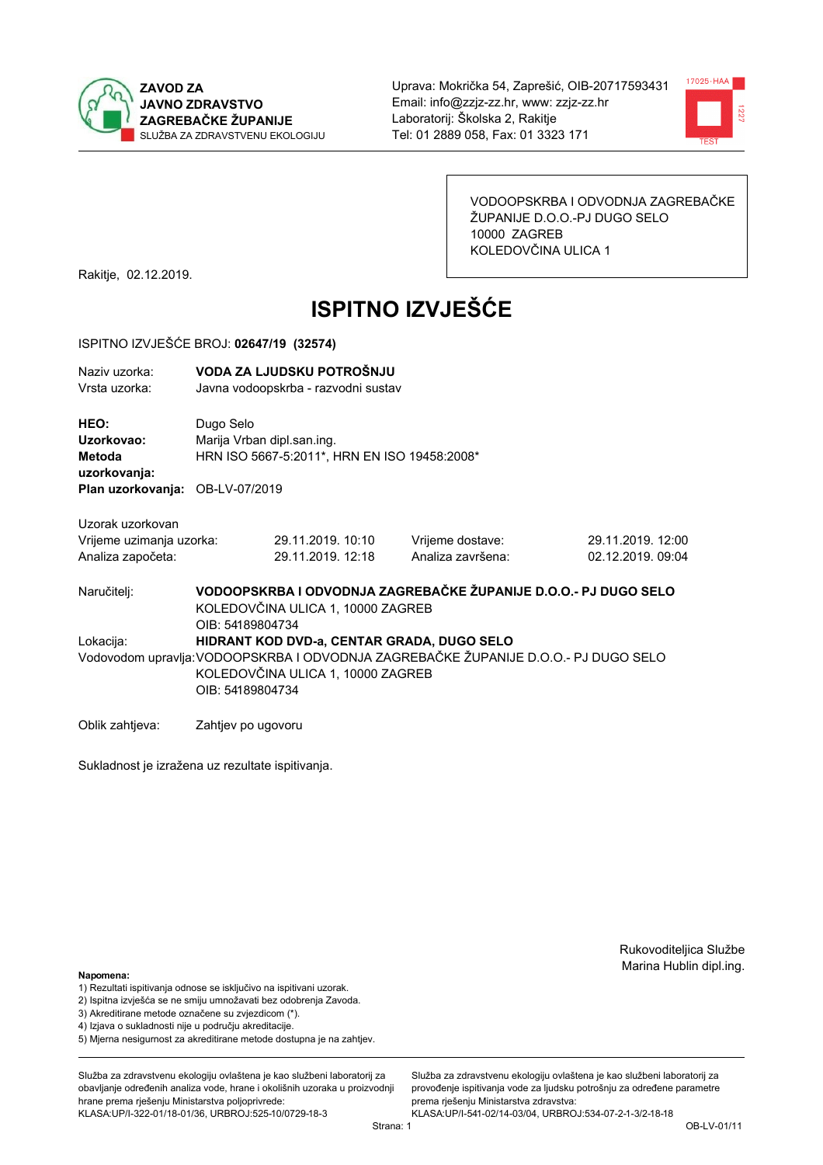



VODOOPSKRBA I ODVODNJA ZAGREBAČKE ŽUPANIJE D.O.O.-PJ DUGO SELO 10000 ZAGREB KOLEDOVČINA ULICA 1

Rakitje, 02.12.2019.

# **ISPITNO IZVJEŠĆE**

#### ISPITNO IZVJEŠĆE BROJ: 02647/19 (32574)

| Naziv uzorka: | VODA ZA LJUDSKU POTROŠNJU           |
|---------------|-------------------------------------|
| Vrsta uzorka: | Javna vodoopskrba - razvodni sustav |

HEO: Dugo Selo Uzorkovao: Marija Vrban dipl.san.ing. HRN ISO 5667-5:2011\*, HRN EN ISO 19458:2008\* **Metoda** uzorkovanja: Plan uzorkovanja: OB-LV-07/2019

| Uzorak uzorkovan         |                   |                   |                   |
|--------------------------|-------------------|-------------------|-------------------|
| Vrijeme uzimanja uzorka: | 29.11.2019. 10:10 | Vrijeme dostave:  | 29.11.2019. 12:00 |
| Analiza započeta:        | 29.11.2019. 12:18 | Analiza završena: | 02.12.2019.09:04  |

VODOOPSKRBA I ODVODNJA ZAGREBAČKE ŽUPANIJE D.O.O.- PJ DUGO SELO Naručitelj: KOLEDOVČINA ULICA 1, 10000 ZAGREB OIB: 54189804734 Lokacija: HIDRANT KOD DVD-a, CENTAR GRADA, DUGO SELO Vodovodom upravlja: VODOOPSKRBA I ODVODNJA ZAGREBAČKE ŽUPANIJE D.O.O.- PJ DUGO SELO KOLEDOVČINA ULICA 1, 10000 ZAGREB OIB: 54189804734

Oblik zahtjeva: Zahtjev po ugovoru

Sukladnost je izražena uz rezultate ispitivanja.

Rukovoditeljica Službe Marina Hublin dipl.ing.

#### Napomena:

- 1) Rezultati ispitivanja odnose se isključivo na ispitivani uzorak.
- 2) Ispitna izvješća se ne smiju umnožavati bez odobrenja Zavoda.
- 3) Akreditirane metode označene su zvjezdicom (\*).
- 4) Iziava o sukladnosti nije u području akreditacije.
- 5) Mjerna nesigurnost za akreditirane metode dostupna je na zahtjev.

Služba za zdravstvenu ekologiju ovlaštena je kao službeni laboratorij za obavlianie određenih analiza vode, hrane i okolišnih uzoraka u proizvodniji hrane prema rješenju Ministarstva poljoprivrede: KLASA:UP/I-322-01/18-01/36, URBROJ:525-10/0729-18-3

Služba za zdravstvenu ekologiju ovlaštena je kao službeni laboratorij za provođenie ispitivania vode za liudsku potrošniu za određene parametre prema riešenju Ministarstva zdravstva: KLASA:UP/I-541-02/14-03/04, URBROJ:534-07-2-1-3/2-18-18

Strana: 1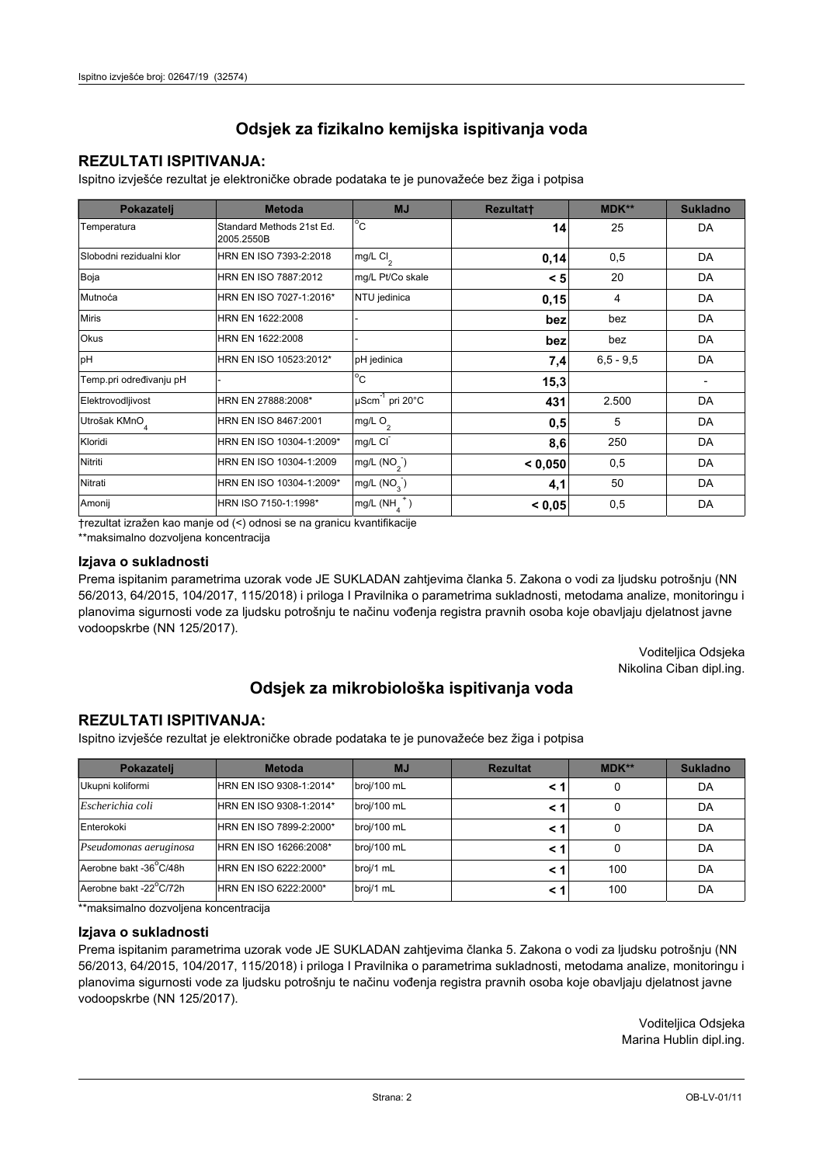## **REZULTATI ISPITIVANJA:**

Ispitno izviešće rezultat je elektroničke obrade podataka te je punovažeće bez žiga i potpisa

| Pokazatelj                | <b>Metoda</b>                           | <b>MJ</b>                   | <b>Rezultatt</b> | <b>MDK**</b>  | <b>Sukladno</b> |
|---------------------------|-----------------------------------------|-----------------------------|------------------|---------------|-----------------|
| Temperatura               | Standard Methods 21st Ed.<br>2005.2550B | $^{\circ}$ C                | 14               | 25            | DA              |
| Slobodni rezidualni klor  | HRN EN ISO 7393-2:2018                  | $mg/L$ Cl <sub>2</sub>      | 0,14             | 0,5           | DA              |
| Boja                      | HRN EN ISO 7887:2012                    | mg/L Pt/Co skale            | < 5              | 20            | DA              |
| Mutnoća                   | HRN EN ISO 7027-1:2016*                 | NTU jedinica                | 0,15             | 4             | DA              |
| <b>Miris</b>              | HRN EN 1622:2008                        |                             | bez              | bez           | DA              |
| Okus                      | HRN EN 1622:2008                        |                             | bez              | bez           | DA              |
| pH                        | HRN EN ISO 10523:2012*                  | pH jedinica                 | 7,4              | $6, 5 - 9, 5$ | DA              |
| Temp.pri određivanju pH   |                                         | $^{\circ}$ C                | 15,3             |               |                 |
| Elektrovodljivost         | HRN EN 27888:2008*                      | µScm <sup>-1</sup> pri 20°C | 431              | 2.500         | DA              |
| Utrošak KMnO <sub>4</sub> | HRN EN ISO 8467:2001                    | mg/L O <sub>2</sub>         | 0,5              | 5             | DA              |
| Kloridi                   | HRN EN ISO 10304-1:2009*                | mg/L CI                     | 8,6              | 250           | DA              |
| Nitriti                   | HRN EN ISO 10304-1:2009                 | mg/L $(NO2)$                | < 0.050          | 0,5           | DA              |
| Nitrati                   | HRN EN ISO 10304-1:2009*                | mg/L (NO <sub>3</sub> )     | 4,1              | 50            | DA              |
| Amonij                    | HRN ISO 7150-1:1998*                    | mg/L (NH                    | < 0,05           | 0,5           | DA              |

trezultat izražen kao manje od (<) odnosi se na granicu kvantifikacije

\*\*maksimalno dozvoljena koncentracija

### Izjava o sukladnosti

Prema ispitanim parametrima uzorak vode JE SUKLADAN zahtievima članka 5. Zakona o vodi za ljudsku potrošnju (NN 56/2013, 64/2015, 104/2017, 115/2018) i priloga I Pravilnika o parametrima sukladnosti, metodama analize, monitoringu i planovima sigurnosti vode za ljudsku potrošnju te načinu vođenja registra pravnih osoba koje obavljaju djelatnost javne vodoopskrbe (NN 125/2017).

> Voditeljica Odsjeka Nikolina Ciban dipl.ing.

# Odsjek za mikrobiološka ispitivanja voda

## **REZULTATI ISPITIVANJA:**

Ispitno izvješće rezultat je elektroničke obrade podataka te je punovažeće bez žiga i potpisa

| Pokazatelj             | <b>Metoda</b>           | <b>MJ</b>   | <b>Rezultat</b> | <b>MDK**</b> | <b>Sukladno</b> |
|------------------------|-------------------------|-------------|-----------------|--------------|-----------------|
| Ukupni koliformi       | HRN EN ISO 9308-1:2014* | broj/100 mL |                 |              | DA              |
| Escherichia coli       | HRN EN ISO 9308-1:2014* | broj/100 mL | < 1             |              | DA              |
| Enterokoki             | HRN EN ISO 7899-2:2000* | broj/100 mL | < '             |              | DA              |
| Pseudomonas aeruginosa | HRN EN ISO 16266:2008*  | broj/100 mL | < 1             | 0            | DA              |
| Aerobne bakt -36 C/48h | HRN EN ISO 6222:2000*   | broj/1 mL   |                 | 100          | DA              |
| Aerobne bakt -22°C/72h | HRN EN ISO 6222:2000*   | broj/1 mL   | < 1             | 100          | DA              |

\*\*maksimalno dozvoljena koncentracija

#### Izjava o sukladnosti

Prema ispitanim parametrima uzorak vode JE SUKLADAN zahtjevima članka 5. Zakona o vodi za ljudsku potrošnju (NN 56/2013, 64/2015, 104/2017, 115/2018) i priloga I Pravilnika o parametrima sukladnosti, metodama analize, monitoringu i planovima sigurnosti vode za ljudsku potrošnju te načinu vođenja registra pravnih osoba koje obavljaju djelatnost javne vodoopskrbe (NN 125/2017).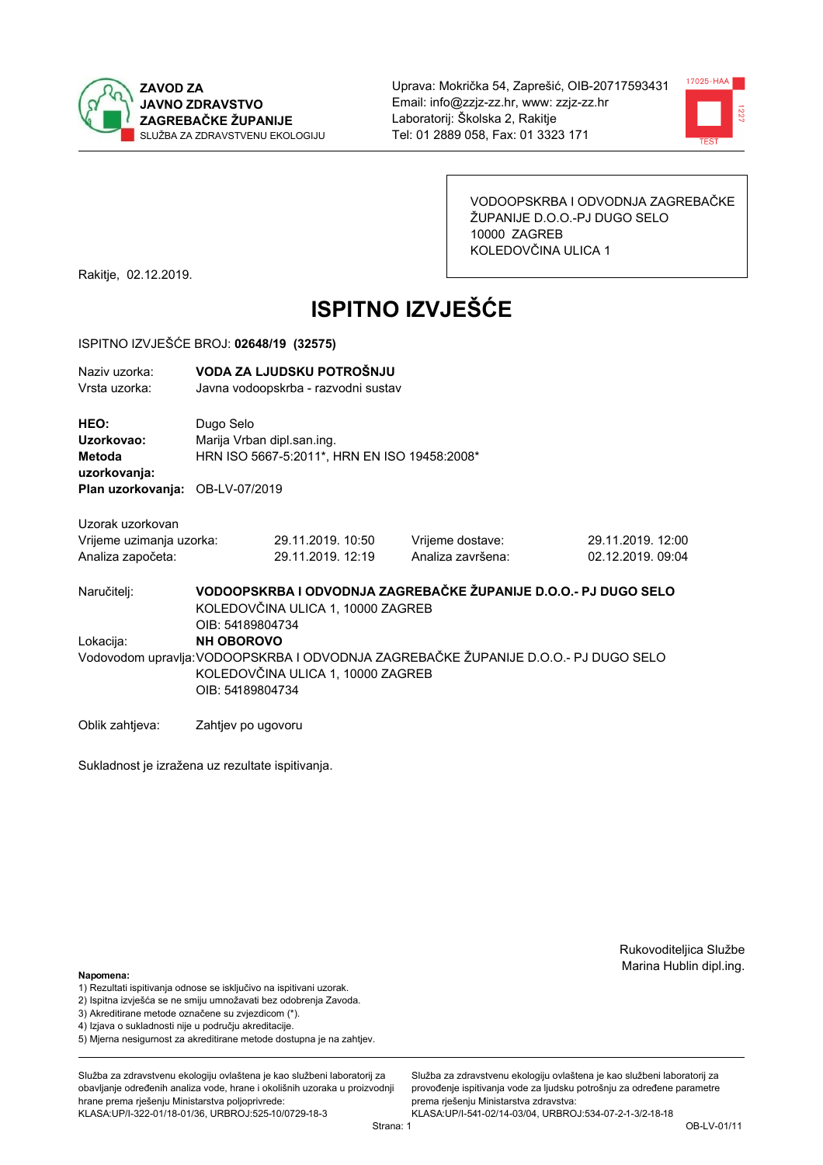



VODOOPSKRBA I ODVODNJA ZAGREBAČKE ŽUPANIJE D.O.O.-PJ DUGO SELO 10000 ZAGREB KOLEDOVČINA ULICA 1

Rakitje, 02.12.2019.

# **ISPITNO IZVJEŠĆE**

#### ISPITNO IZVJEŠĆE BROJ: 02648/19 (32575)

| Naziv uzorka: | VODA ZA LJUDSKU POTROŠNJU           |
|---------------|-------------------------------------|
| Vrsta uzorka: | Javna vodoopskrba - razvodni sustav |

HEO: Dugo Selo Uzorkovao: Marija Vrban dipl.san.ing. **Metoda** HRN ISO 5667-5:2011\*, HRN EN ISO 19458:2008\* uzorkovanja: Plan uzorkovanja: OB-LV-07/2019

Uzorak uzorkovan Vrijeme uzimania uzorka:

| Vrijeme uzimanja uzorka: | 29.11.2019. 10:50 |  |
|--------------------------|-------------------|--|
| Analiza započeta:        | 29.11.2019. 12:19 |  |

Vrijeme dostave: Analiza završena: 29.11.2019. 12:00 02.12.2019.09:04

VODOOPSKRBA I ODVODNJA ZAGREBAČKE ŽUPANIJE D.O.O.- PJ DUGO SELO Naručitelj: KOLEDOVČINA ULICA 1, 10000 ZAGREB OIB: 54189804734 Lokacija: **NH OBOROVO** Vodovodom upravlja: VODOOPSKRBA I ODVODNJA ZAGREBAČKE ŽUPANIJE D.O.O.- PJ DUGO SELO KOLEDOVČINA ULICA 1, 10000 ZAGREB OIB: 54189804734

Oblik zahtjeva: Zahtjev po ugovoru

Sukladnost je izražena uz rezultate ispitivanja.

Rukovoditeljica Službe Marina Hublin dipl.ing.

#### Napomena:

- 1) Rezultati ispitivanja odnose se isključivo na ispitivani uzorak.
- 2) Ispitna izvješća se ne smiju umnožavati bez odobrenja Zavoda.

3) Akreditirane metode označene su zvjezdicom (\*).

- 4) Iziava o sukladnosti nije u području akreditacije.
- 5) Mjerna nesigurnost za akreditirane metode dostupna je na zahtjev.

Služba za zdravstvenu ekologiju ovlaštena je kao službeni laboratorij za obavlianie određenih analiza vode, hrane i okolišnih uzoraka u proizvodniji hrane prema rješenju Ministarstva poljoprivrede: KLASA:UP/I-322-01/18-01/36, URBROJ:525-10/0729-18-3

Služba za zdravstvenu ekologiju ovlaštena je kao službeni laboratorij za provođenie ispitivania vode za liudsku potrošniu za određene parametre prema riešenju Ministarstva zdravstva: